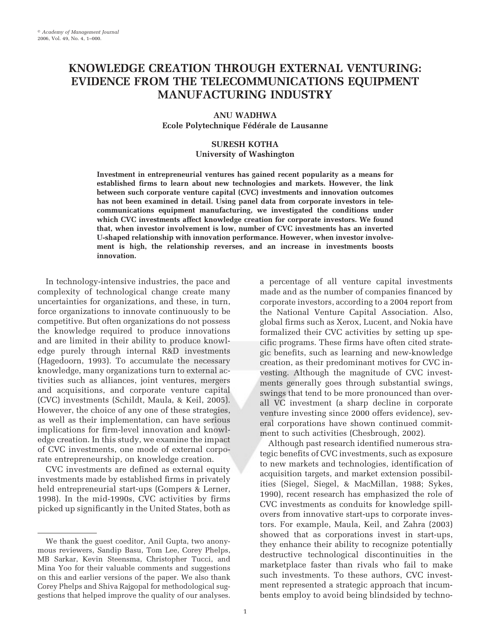# **KNOWLEDGE CREATION THROUGH EXTERNAL VENTURING: EVIDENCE FROM THE TELECOMMUNICATIONS EQUIPMENT MANUFACTURING INDUSTRY**

**ANU WADHWA Ecole Polytechnique Fédérale de Lausanne** 

# **SURESH KOTHA**

**University of Washington**

**Investment in entrepreneurial ventures has gained recent popularity as a means for established firms to learn about new technologies and markets. However, the link between such corporate venture capital (CVC) investments and innovation outcomes has not been examined in detail. Using panel data from corporate investors in telecommunications equipment manufacturing, we investigated the conditions under which CVC investments affect knowledge creation for corporate investors. We found that, when investor involvement is low, number of CVC investments has an inverted U-shaped relationship with innovation performance. However, when investor involvement is high, the relationship reverses, and an increase in investments boosts innovation.**

In technology-intensive industries, the pace and complexity of technological change create many uncertainties for organizations, and these, in turn, force organizations to innovate continuously to be competitive. But often organizations do not possess the knowledge required to produce innovations and are limited in their ability to produce knowledge purely through internal R&D investments (Hagedoorn, 1993). To accumulate the necessary knowledge, many organizations turn to external activities such as alliances, joint ventures, mergers and acquisitions, and corporate venture capital (CVC) investments (Schildt, Maula, & Keil, 2005). However, the choice of any one of these strategies, as well as their implementation, can have serious implications for firm-level innovation and knowledge creation. In this study, we examine the impact of CVC investments, one mode of external corporate entrepreneurship, on knowledge creation.

CVC investments are defined as external equity investments made by established firms in privately held entrepreneurial start-ups (Gompers & Lerner, 1998). In the mid-1990s, CVC activities by firms picked up significantly in the United States, both as

a percentage of all venture capital investments made and as the number of companies financed by corporate investors, according to a 2004 report from the National Venture Capital Association. Also, global firms such as Xerox, Lucent, and Nokia have formalized their CVC activities by setting up specific programs. These firms have often cited strategic benefits, such as learning and new-knowledge creation, as their predominant motives for CVC investing. Although the magnitude of CVC investments generally goes through substantial swings, swings that tend to be more pronounced than overall VC investment (a sharp decline in corporate venture investing since 2000 offers evidence), several corporations have shown continued commitment to such activities (Chesbrough, 2002).

Although past research identified numerous strategic benefits of CVC investments, such as exposure to new markets and technologies, identification of acquisition targets, and market extension possibilities (Siegel, Siegel, & MacMillan, 1988; Sykes, 1990), recent research has emphasized the role of CVC investments as conduits for knowledge spillovers from innovative start-ups to corporate investors. For example, Maula, Keil, and Zahra (2003) showed that as corporations invest in start-ups, they enhance their ability to recognize potentially destructive technological discontinuities in the marketplace faster than rivals who fail to make such investments. To these authors, CVC investment represented a strategic approach that incumbents employ to avoid being blindsided by techno-

We thank the guest coeditor, Anil Gupta, two anonymous reviewers, Sandip Basu, Tom Lee, Corey Phelps, MB Sarkar, Kevin Steensma, Christopher Tucci, and Mina Yoo for their valuable comments and suggestions on this and earlier versions of the paper. We also thank Corey Phelps and Shiva Rajgopal for methodological suggestions that helped improve the quality of our analyses.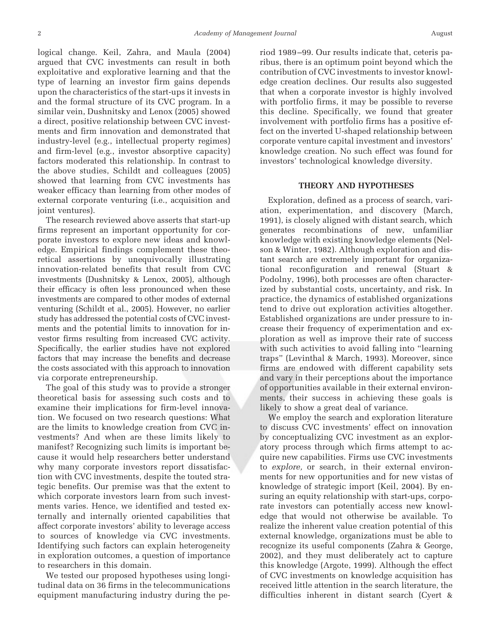logical change. Keil, Zahra, and Maula (2004) argued that CVC investments can result in both exploitative and explorative learning and that the type of learning an investor firm gains depends upon the characteristics of the start-ups it invests in and the formal structure of its CVC program. In a similar vein, Dushnitsky and Lenox (2005) showed a direct, positive relationship between CVC investments and firm innovation and demonstrated that industry-level (e.g., intellectual property regimes) and firm-level (e.g., investor absorptive capacity) factors moderated this relationship. In contrast to the above studies, Schildt and colleagues (2005) showed that learning from CVC investments has weaker efficacy than learning from other modes of external corporate venturing (i.e., acquisition and joint ventures).

The research reviewed above asserts that start-up firms represent an important opportunity for corporate investors to explore new ideas and knowledge. Empirical findings complement these theoretical assertions by unequivocally illustrating innovation-related benefits that result from CVC investments (Dushnitsky & Lenox, 2005), although their efficacy is often less pronounced when these investments are compared to other modes of external venturing (Schildt et al., 2005). However, no earlier study has addressed the potential costs of CVC investments and the potential limits to innovation for investor firms resulting from increased CVC activity. Specifically, the earlier studies have not explored factors that may increase the benefits and decrease the costs associated with this approach to innovation via corporate entrepreneurship.

The goal of this study was to provide a stronger theoretical basis for assessing such costs and to examine their implications for firm-level innovation. We focused on two research questions: What are the limits to knowledge creation from CVC investments? And when are these limits likely to manifest? Recognizing such limits is important because it would help researchers better understand why many corporate investors report dissatisfaction with CVC investments, despite the touted strategic benefits. Our premise was that the extent to which corporate investors learn from such investments varies. Hence, we identified and tested externally and internally oriented capabilities that affect corporate investors' ability to leverage access to sources of knowledge via CVC investments. Identifying such factors can explain heterogeneity in exploration outcomes, a question of importance to researchers in this domain.

We tested our proposed hypotheses using longitudinal data on 36 firms in the telecommunications equipment manufacturing industry during the period 1989 –99. Our results indicate that, ceteris paribus, there is an optimum point beyond which the contribution of CVC investments to investor knowledge creation declines. Our results also suggested that when a corporate investor is highly involved with portfolio firms, it may be possible to reverse this decline. Specifically, we found that greater involvement with portfolio firms has a positive effect on the inverted U-shaped relationship between corporate venture capital investment and investors' knowledge creation. No such effect was found for investors' technological knowledge diversity.

#### **THEORY AND HYPOTHESES**

Exploration, defined as a process of search, variation, experimentation, and discovery (March, 1991), is closely aligned with distant search, which generates recombinations of new, unfamiliar knowledge with existing knowledge elements (Nelson & Winter, 1982). Although exploration and distant search are extremely important for organizational reconfiguration and renewal (Stuart & Podolny, 1996), both processes are often characterized by substantial costs, uncertainty, and risk. In practice, the dynamics of established organizations tend to drive out exploration activities altogether. Established organizations are under pressure to increase their frequency of experimentation and exploration as well as improve their rate of success with such activities to avoid falling into "learning traps" (Levinthal & March, 1993). Moreover, since firms are endowed with different capability sets and vary in their perceptions about the importance of opportunities available in their external environments, their success in achieving these goals is likely to show a great deal of variance.

We employ the search and exploration literature to discuss CVC investments' effect on innovation by conceptualizing CVC investment as an exploratory process through which firms attempt to acquire new capabilities. Firms use CVC investments to *explore,* or search, in their external environments for new opportunities and for new vistas of knowledge of strategic import (Keil, 2004). By ensuring an equity relationship with start-ups, corporate investors can potentially access new knowledge that would not otherwise be available. To realize the inherent value creation potential of this external knowledge, organizations must be able to recognize its useful components (Zahra & George, 2002), and they must deliberately act to capture this knowledge (Argote, 1999). Although the effect of CVC investments on knowledge acquisition has received little attention in the search literature, the difficulties inherent in distant search (Cyert &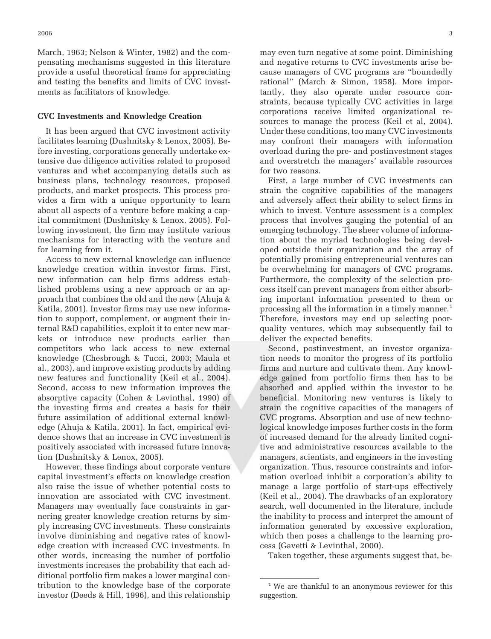March, 1963; Nelson & Winter, 1982) and the compensating mechanisms suggested in this literature provide a useful theoretical frame for appreciating and testing the benefits and limits of CVC investments as facilitators of knowledge.

# **CVC Investments and Knowledge Creation**

It has been argued that CVC investment activity facilitates learning (Dushnitsky & Lenox, 2005). Before investing, corporations generally undertake extensive due diligence activities related to proposed ventures and whet accompanying details such as business plans, technology resources, proposed products, and market prospects. This process provides a firm with a unique opportunity to learn about all aspects of a venture before making a capital commitment (Dushnitsky & Lenox, 2005). Following investment, the firm may institute various mechanisms for interacting with the venture and for learning from it.

Access to new external knowledge can influence knowledge creation within investor firms. First, new information can help firms address established problems using a new approach or an approach that combines the old and the new (Ahuja & Katila, 2001). Investor firms may use new information to support, complement, or augment their internal R&D capabilities, exploit it to enter new markets or introduce new products earlier than competitors who lack access to new external knowledge (Chesbrough & Tucci, 2003; Maula et al., 2003), and improve existing products by adding new features and functionality (Keil et al., 2004). Second, access to new information improves the absorptive capacity (Cohen & Levinthal, 1990) of the investing firms and creates a basis for their future assimilation of additional external knowledge (Ahuja & Katila, 2001). In fact, empirical evidence shows that an increase in CVC investment is positively associated with increased future innovation (Dushnitsky & Lenox, 2005).

However, these findings about corporate venture capital investment's effects on knowledge creation also raise the issue of whether potential costs to innovation are associated with CVC investment. Managers may eventually face constraints in garnering greater knowledge creation returns by simply increasing CVC investments. These constraints involve diminishing and negative rates of knowledge creation with increased CVC investments. In other words, increasing the number of portfolio investments increases the probability that each additional portfolio firm makes a lower marginal contribution to the knowledge base of the corporate investor (Deeds & Hill, 1996), and this relationship

may even turn negative at some point. Diminishing and negative returns to CVC investments arise because managers of CVC programs are "boundedly rational" (March & Simon, 1958). More importantly, they also operate under resource constraints, because typically CVC activities in large corporations receive limited organizational resources to manage the process (Keil et al, 2004). Under these conditions, too many CVC investments may confront their managers with information overload during the pre- and postinvestment stages and overstretch the managers' available resources for two reasons.

First, a large number of CVC investments can strain the cognitive capabilities of the managers and adversely affect their ability to select firms in which to invest. Venture assessment is a complex process that involves gauging the potential of an emerging technology. The sheer volume of information about the myriad technologies being developed outside their organization and the array of potentially promising entrepreneurial ventures can be overwhelming for managers of CVC programs. Furthermore, the complexity of the selection process itself can prevent managers from either absorbing important information presented to them or processing all the information in a timely manner.<sup>1</sup> Therefore, investors may end up selecting poorquality ventures, which may subsequently fail to deliver the expected benefits.

Second, postinvestment, an investor organization needs to monitor the progress of its portfolio firms and nurture and cultivate them. Any knowledge gained from portfolio firms then has to be absorbed and applied within the investor to be beneficial. Monitoring new ventures is likely to strain the cognitive capacities of the managers of CVC programs. Absorption and use of new technological knowledge imposes further costs in the form of increased demand for the already limited cognitive and administrative resources available to the managers, scientists, and engineers in the investing organization. Thus, resource constraints and information overload inhibit a corporation's ability to manage a large portfolio of start-ups effectively (Keil et al., 2004). The drawbacks of an exploratory search, well documented in the literature, include the inability to process and interpret the amount of information generated by excessive exploration, which then poses a challenge to the learning process (Gavetti & Levinthal, 2000).

Taken together, these arguments suggest that, be-

<sup>&</sup>lt;sup>1</sup> We are thankful to an anonymous reviewer for this suggestion.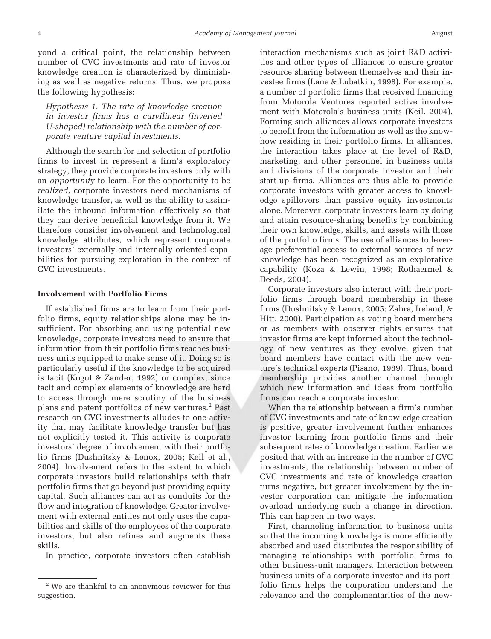yond a critical point, the relationship between number of CVC investments and rate of investor knowledge creation is characterized by diminishing as well as negative returns. Thus, we propose the following hypothesis:

*Hypothesis 1. The rate of knowledge creation in investor firms has a curvilinear (inverted U-shaped) relationship with the number of corporate venture capital investments.*

Although the search for and selection of portfolio firms to invest in represent a firm's exploratory strategy, they provide corporate investors only with an *opportunity* to learn. For the opportunity to be *realized,* corporate investors need mechanisms of knowledge transfer, as well as the ability to assimilate the inbound information effectively so that they can derive beneficial knowledge from it. We therefore consider involvement and technological knowledge attributes, which represent corporate investors' externally and internally oriented capabilities for pursuing exploration in the context of CVC investments.

# **Involvement with Portfolio Firms**

If established firms are to learn from their portfolio firms, equity relationships alone may be insufficient. For absorbing and using potential new knowledge, corporate investors need to ensure that information from their portfolio firms reaches business units equipped to make sense of it. Doing so is particularly useful if the knowledge to be acquired is tacit (Kogut & Zander, 1992) or complex, since tacit and complex elements of knowledge are hard to access through mere scrutiny of the business plans and patent portfolios of new ventures.<sup>2</sup> Past research on CVC investments alludes to one activity that may facilitate knowledge transfer but has not explicitly tested it. This activity is corporate investors' degree of involvement with their portfolio firms (Dushnitsky & Lenox, 2005; Keil et al., 2004). Involvement refers to the extent to which corporate investors build relationships with their portfolio firms that go beyond just providing equity capital. Such alliances can act as conduits for the flow and integration of knowledge. Greater involvement with external entities not only uses the capabilities and skills of the employees of the corporate investors, but also refines and augments these skills.

In practice, corporate investors often establish

interaction mechanisms such as joint R&D activities and other types of alliances to ensure greater resource sharing between themselves and their investee firms (Lane & Lubatkin, 1998). For example, a number of portfolio firms that received financing from Motorola Ventures reported active involvement with Motorola's business units (Keil, 2004). Forming such alliances allows corporate investors to benefit from the information as well as the knowhow residing in their portfolio firms. In alliances, the interaction takes place at the level of R&D, marketing, and other personnel in business units and divisions of the corporate investor and their start-up firms. Alliances are thus able to provide corporate investors with greater access to knowledge spillovers than passive equity investments alone. Moreover, corporate investors learn by doing and attain resource-sharing benefits by combining their own knowledge, skills, and assets with those of the portfolio firms. The use of alliances to leverage preferential access to external sources of new knowledge has been recognized as an explorative capability (Koza & Lewin, 1998; Rothaermel & Deeds, 2004).

Corporate investors also interact with their portfolio firms through board membership in these firms (Dushnitsky & Lenox, 2005; Zahra, Ireland, & Hitt, 2000). Participation as voting board members or as members with observer rights ensures that investor firms are kept informed about the technology of new ventures as they evolve, given that board members have contact with the new venture's technical experts (Pisano, 1989). Thus, board membership provides another channel through which new information and ideas from portfolio firms can reach a corporate investor.

When the relationship between a firm's number of CVC investments and rate of knowledge creation is positive, greater involvement further enhances investor learning from portfolio firms and their subsequent rates of knowledge creation. Earlier we posited that with an increase in the number of CVC investments, the relationship between number of CVC investments and rate of knowledge creation turns negative, but greater involvement by the investor corporation can mitigate the information overload underlying such a change in direction. This can happen in two ways.

First, channeling information to business units so that the incoming knowledge is more efficiently absorbed and used distributes the responsibility of managing relationships with portfolio firms to other business-unit managers. Interaction between business units of a corporate investor and its portfolio firms helps the corporation understand the relevance and the complementarities of the new-

<sup>2</sup> We are thankful to an anonymous reviewer for this suggestion.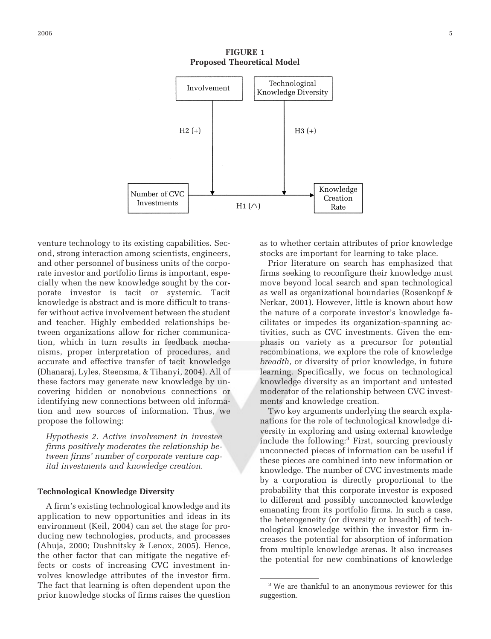**FIGURE 1 Proposed Theoretical Model**



venture technology to its existing capabilities. Second, strong interaction among scientists, engineers, and other personnel of business units of the corporate investor and portfolio firms is important, especially when the new knowledge sought by the corporate investor is tacit or systemic. Tacit knowledge is abstract and is more difficult to transfer without active involvement between the student and teacher. Highly embedded relationships between organizations allow for richer communication, which in turn results in feedback mechanisms, proper interpretation of procedures, and accurate and effective transfer of tacit knowledge (Dhanaraj, Lyles, Steensma, & Tihanyi, 2004). All of these factors may generate new knowledge by uncovering hidden or nonobvious connections or identifying new connections between old information and new sources of information. Thus, we propose the following:

*Hypothesis 2. Active involvement in investee firms positively moderates the relationship between firms' number of corporate venture capital investments and knowledge creation.*

# **Technological Knowledge Diversity**

A firm's existing technological knowledge and its application to new opportunities and ideas in its environment (Keil, 2004) can set the stage for producing new technologies, products, and processes (Ahuja, 2000; Dushnitsky & Lenox, 2005). Hence, the other factor that can mitigate the negative effects or costs of increasing CVC investment involves knowledge attributes of the investor firm. The fact that learning is often dependent upon the prior knowledge stocks of firms raises the question as to whether certain attributes of prior knowledge stocks are important for learning to take place.

Prior literature on search has emphasized that firms seeking to reconfigure their knowledge must move beyond local search and span technological as well as organizational boundaries (Rosenkopf & Nerkar, 2001). However, little is known about how the nature of a corporate investor's knowledge facilitates or impedes its organization-spanning activities, such as CVC investments. Given the emphasis on variety as a precursor for potential recombinations, we explore the role of knowledge *breadth,* or diversity of prior knowledge, in future learning. Specifically, we focus on technological knowledge diversity as an important and untested moderator of the relationship between CVC investments and knowledge creation.

Two key arguments underlying the search explanations for the role of technological knowledge diversity in exploring and using external knowledge include the following:<sup>3</sup> First, sourcing previously unconnected pieces of information can be useful if these pieces are combined into new information or knowledge. The number of CVC investments made by a corporation is directly proportional to the probability that this corporate investor is exposed to different and possibly unconnected knowledge emanating from its portfolio firms. In such a case, the heterogeneity (or diversity or breadth) of technological knowledge within the investor firm increases the potential for absorption of information from multiple knowledge arenas. It also increases the potential for new combinations of knowledge

<sup>3</sup> We are thankful to an anonymous reviewer for this suggestion.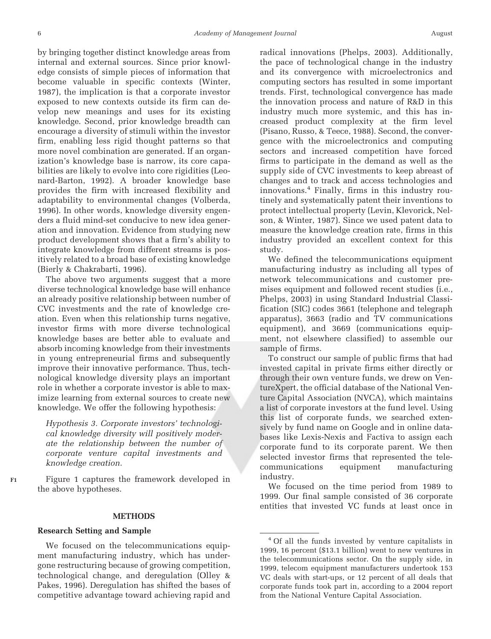by bringing together distinct knowledge areas from internal and external sources. Since prior knowledge consists of simple pieces of information that become valuable in specific contexts (Winter, 1987), the implication is that a corporate investor exposed to new contexts outside its firm can develop new meanings and uses for its existing knowledge. Second, prior knowledge breadth can encourage a diversity of stimuli within the investor firm, enabling less rigid thought patterns so that more novel combination are generated. If an organization's knowledge base is narrow, its core capabilities are likely to evolve into core rigidities (Leonard-Barton, 1992). A broader knowledge base provides the firm with increased flexibility and adaptability to environmental changes (Volberda, 1996). In other words, knowledge diversity engenders a fluid mind-set conducive to new idea generation and innovation. Evidence from studying new product development shows that a firm's ability to integrate knowledge from different streams is positively related to a broad base of existing knowledge (Bierly & Chakrabarti, 1996).

The above two arguments suggest that a more diverse technological knowledge base will enhance an already positive relationship between number of CVC investments and the rate of knowledge creation. Even when this relationship turns negative, investor firms with more diverse technological knowledge bases are better able to evaluate and absorb incoming knowledge from their investments in young entrepreneurial firms and subsequently improve their innovative performance. Thus, technological knowledge diversity plays an important role in whether a corporate investor is able to maximize learning from external sources to create new knowledge. We offer the following hypothesis:

*Hypothesis 3. Corporate investors' technological knowledge diversity will positively moderate the relationship between the number of corporate venture capital investments and knowledge creation.*

Figure 1 captures the framework developed in the above hypotheses.

#### **METHODS**

# **Research Setting and Sample**

**F1**

We focused on the telecommunications equipment manufacturing industry, which has undergone restructuring because of growing competition, technological change, and deregulation (Olley & Pakes, 1996). Deregulation has shifted the bases of competitive advantage toward achieving rapid and

radical innovations (Phelps, 2003). Additionally, the pace of technological change in the industry and its convergence with microelectronics and computing sectors has resulted in some important trends. First, technological convergence has made the innovation process and nature of R&D in this industry much more systemic, and this has increased product complexity at the firm level (Pisano, Russo, & Teece, 1988). Second, the convergence with the microelectronics and computing sectors and increased competition have forced firms to participate in the demand as well as the supply side of CVC investments to keep abreast of changes and to track and access technologies and innovations.<sup>4</sup> Finally, firms in this industry routinely and systematically patent their inventions to protect intellectual property (Levin, Klevorick, Nelson, & Winter, 1987). Since we used patent data to measure the knowledge creation rate, firms in this industry provided an excellent context for this study.

We defined the telecommunications equipment manufacturing industry as including all types of network telecommunications and customer premises equipment and followed recent studies (i.e., Phelps, 2003) in using Standard Industrial Classification (SIC) codes 3661 (telephone and telegraph apparatus), 3663 (radio and TV communications equipment), and 3669 (communications equipment, not elsewhere classified) to assemble our sample of firms.

To construct our sample of public firms that had invested capital in private firms either directly or through their own venture funds, we drew on VentureXpert, the official database of the National Venture Capital Association (NVCA), which maintains a list of corporate investors at the fund level. Using this list of corporate funds, we searched extensively by fund name on Google and in online databases like Lexis-Nexis and Factiva to assign each corporate fund to its corporate parent. We then selected investor firms that represented the telecommunications equipment manufacturing industry.

We focused on the time period from 1989 to 1999. Our final sample consisted of 36 corporate entities that invested VC funds at least once in

<sup>4</sup> Of all the funds invested by venture capitalists in 1999, 16 percent (\$13.1 billion) went to new ventures in the telecommunications sector. On the supply side, in 1999, telecom equipment manufacturers undertook 153 VC deals with start-ups, or 12 percent of all deals that corporate funds took part in, according to a 2004 report from the National Venture Capital Association.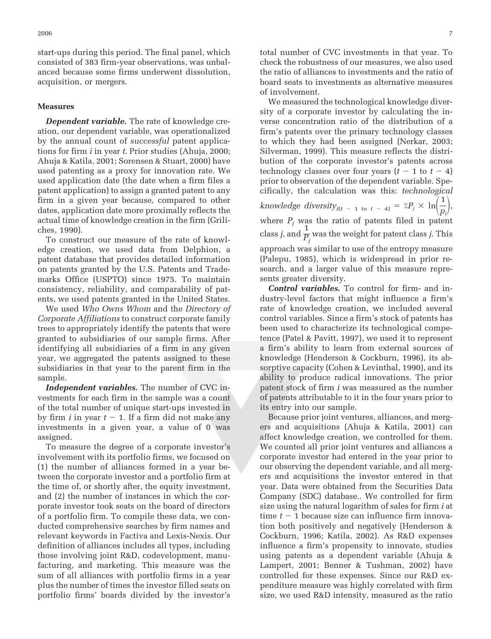start-ups during this period. The final panel, which consisted of 383 firm-year observations, was unbalanced because some firms underwent dissolution, acquisition, or mergers.

# **Measures**

*Dependent variable.* The rate of knowledge creation, our dependent variable, was operationalized by the annual count of *successful* patent applications for firm *i* in year *t*. Prior studies (Ahuja, 2000; Ahuja & Katila, 2001; Sorensen & Stuart, 2000) have used patenting as a proxy for innovation rate. We used application date (the date when a firm files a patent application) to assign a granted patent to any firm in a given year because, compared to other dates, application date more proximally reflects the actual time of knowledge creation in the firm (Griliches, 1990).

To construct our measure of the rate of knowledge creation, we used data from Delphion, a patent database that provides detailed information on patents granted by the U.S. Patents and Trademarks Office (USPTO) since 1975. To maintain consistency, reliability, and comparability of patents, we used patents granted in the United States.

We used *Who Owns Whom* and the *Directory of Corporate Affiliations* to construct corporate family trees to appropriately identify the patents that were granted to subsidiaries of our sample firms. After identifying all subsidiaries of a firm in any given year, we aggregated the patents assigned to these subsidiaries in that year to the parent firm in the sample.

*Independent variables.* The number of CVC investments for each firm in the sample was a count of the total number of unique start-ups invested in by firm *i* in year  $t - 1$ . If a firm did not make any investments in a given year, a value of 0 was assigned.

To measure the degree of a corporate investor's involvement with its portfolio firms, we focused on (1) the number of alliances formed in a year between the corporate investor and a portfolio firm at the time of, or shortly after, the equity investment, and (2) the number of instances in which the corporate investor took seats on the board of directors of a portfolio firm. To compile these data, we conducted comprehensive searches by firm names and relevant keywords in Factiva and Lexis-Nexis. Our definition of alliances includes all types, including those involving joint R&D, codevelopment, manufacturing, and marketing. This measure was the sum of all alliances with portfolio firms in a year plus the number of times the investor filled seats on portfolio firms' boards divided by the investor's total number of CVC investments in that year. To check the robustness of our measures, we also used the ratio of alliances to investments and the ratio of board seats to investments as alternative measures of involvement.

We measured the technological knowledge diversity of a corporate investor by calculating the inverse concentration ratio of the distribution of a firm's patents over the primary technology classes to which they had been assigned (Nerkar, 2003; Silverman, 1999). This measure reflects the distribution of the corporate investor's patents across technology classes over four years  $(t - 1)$  to  $t - 4$ ) prior to observation of the dependent variable. Specifically, the calculation was this: *technological* knowledge diversity<sub>i(t - 1</sub> to  $t - 4$ ) =  $\sum P_j \times \ln\left(\frac{1}{p}\right)$  $\frac{1}{p_j}\Big),$ where  $P_j$  was the ratio of patents filed in patent class *j*, and  $\frac{1}{P}$  $\overline{P}_j$  was the weight for patent class *j.* This approach was similar to use of the entropy measure (Palepu, 1985), which is widespread in prior research, and a larger value of this measure represents greater diversity.

*Control variables.* To control for firm- and industry-level factors that might influence a firm's rate of knowledge creation, we included several control variables. Since a firm's stock of patents has been used to characterize its technological competence (Patel & Pavitt, 1997), we used it to represent a firm's ability to learn from external sources of knowledge (Henderson & Cockburn, 1996), its absorptive capacity (Cohen & Levinthal, 1990), and its ability to produce radical innovations. The prior patent stock of firm *i* was measured as the number of patents attributable to it in the four years prior to its entry into our sample.

Because prior joint ventures, alliances, and mergers and acquisitions (Ahuja & Katila, 2001) can affect knowledge creation, we controlled for them. We counted all prior joint ventures and alliances a corporate investor had entered in the year prior to our observing the dependent variable, and all mergers and acquisitions the investor entered in that year. Data were obtained from the Securities Data Company (SDC) database.. We controlled for firm size using the natural logarithm of sales for firm *i* at time  $t - 1$  because size can influence firm innovation both positively and negatively (Henderson & Cockburn, 1996; Katila, 2002). As R&D expenses influence a firm's propensity to innovate, studies using patents as a dependent variable (Ahuja & Lampert, 2001; Benner & Tushman, 2002) have controlled for these expenses. Since our R&D expenditure measure was highly correlated with firm size, we used R&D intensity, measured as the ratio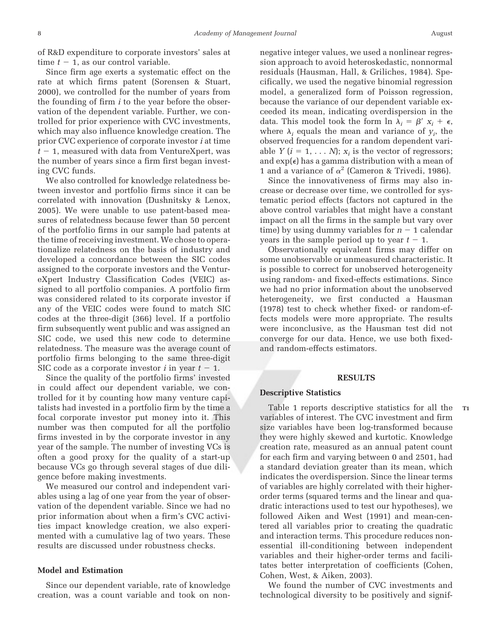of R&D expenditure to corporate investors' sales at time  $t - 1$ , as our control variable.

Since firm age exerts a systematic effect on the rate at which firms patent (Sorensen & Stuart, 2000), we controlled for the number of years from the founding of firm *i* to the year before the observation of the dependent variable. Further, we controlled for prior experience with CVC investments, which may also influence knowledge creation. The prior CVC experience of corporate investor *i* at time  $t-1$ , measured with data from VentureXpert, was the number of years since a firm first began investing CVC funds.

We also controlled for knowledge relatedness between investor and portfolio firms since it can be correlated with innovation (Dushnitsky & Lenox, 2005). We were unable to use patent-based measures of relatedness because fewer than 50 percent of the portfolio firms in our sample had patents at the time of receiving investment. We chose to operationalize relatedness on the basis of industry and developed a concordance between the SIC codes assigned to the corporate investors and the VentureXpert Industry Classification Codes (VEIC) assigned to all portfolio companies. A portfolio firm was considered related to its corporate investor if any of the VEIC codes were found to match SIC codes at the three-digit (366) level. If a portfolio firm subsequently went public and was assigned an SIC code, we used this new code to determine relatedness. The measure was the average count of portfolio firms belonging to the same three-digit SIC code as a corporate investor *i* in year  $t - 1$ .

Since the quality of the portfolio firms' invested in could affect our dependent variable, we controlled for it by counting how many venture capitalists had invested in a portfolio firm by the time a focal corporate investor put money into it. This number was then computed for all the portfolio firms invested in by the corporate investor in any year of the sample. The number of investing VCs is often a good proxy for the quality of a start-up because VCs go through several stages of due diligence before making investments.

We measured our control and independent variables using a lag of one year from the year of observation of the dependent variable. Since we had no prior information about when a firm's CVC activities impact knowledge creation, we also experimented with a cumulative lag of two years. These results are discussed under robustness checks.

# **Model and Estimation**

Since our dependent variable, rate of knowledge creation, was a count variable and took on nonnegative integer values, we used a nonlinear regression approach to avoid heteroskedastic, nonnormal residuals (Hausman, Hall, & Griliches, 1984). Specifically, we used the negative binomial regression model, a generalized form of Poisson regression, because the variance of our dependent variable exceeded its mean, indicating overdispersion in the data. This model took the form  $\ln \lambda_i = \beta'$   $x_i + \epsilon$ , where  $\lambda_i$  equals the mean and variance of  $y_i$ , the observed frequencies for a random dependent variable  $Y$  ( $i = 1, \ldots N$ );  $x_i$  is the vector of regressors; and  $exp(\epsilon)$  has a gamma distribution with a mean of 1 and a variance of  $\alpha^2$  (Cameron & Trivedi, 1986).

Since the innovativeness of firms may also increase or decrease over time, we controlled for systematic period effects (factors not captured in the above control variables that might have a constant impact on all the firms in the sample but vary over time) by using dummy variables for  $n - 1$  calendar years in the sample period up to year  $t - 1$ .

Observationally equivalent firms may differ on some unobservable or unmeasured characteristic. It is possible to correct for unobserved heterogeneity using random- and fixed-effects estimations. Since we had no prior information about the unobserved heterogeneity, we first conducted a Hausman (1978) test to check whether fixed- or random-effects models were more appropriate. The results were inconclusive, as the Hausman test did not converge for our data. Hence, we use both fixedand random-effects estimators.

# **RESULTS**

#### **Descriptive Statistics**

Table 1 reports descriptive statistics for all the variables of interest. The CVC investment and firm size variables have been log-transformed because they were highly skewed and kurtotic. Knowledge creation rate, measured as an annual patent count for each firm and varying between 0 and 2501, had a standard deviation greater than its mean, which indicates the overdispersion. Since the linear terms of variables are highly correlated with their higherorder terms (squared terms and the linear and quadratic interactions used to test our hypotheses), we followed Aiken and West (1991) and mean-centered all variables prior to creating the quadratic and interaction terms. This procedure reduces nonessential ill-conditioning between independent variables and their higher-order terms and facilitates better interpretation of coefficients (Cohen, Cohen, West, & Aiken, 2003). **T1**

We found the number of CVC investments and technological diversity to be positively and signif-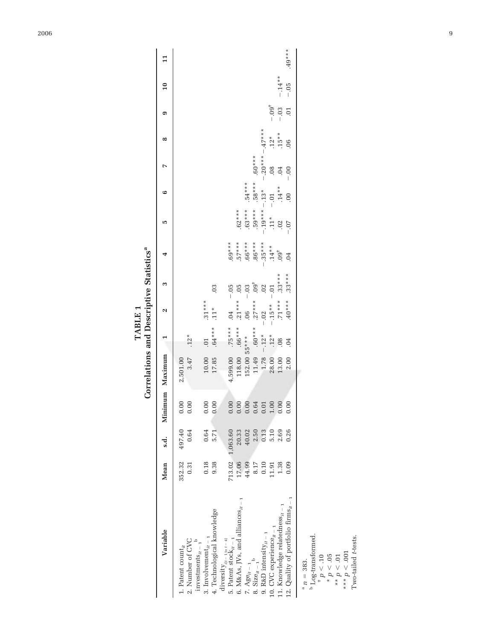|                                                                    |        |                 |      | Correlations and Descriptive Statistics <sup>a</sup> |                  |            |            |                 |             |                |                  |         |                |                 |                 |
|--------------------------------------------------------------------|--------|-----------------|------|------------------------------------------------------|------------------|------------|------------|-----------------|-------------|----------------|------------------|---------|----------------|-----------------|-----------------|
| Variable                                                           | Mean   | s.d.            | Σ    | linimum Maximum 1                                    |                  | N          | s          |                 | LC)         | అ              | Ŋ                | œ       | ග              | $\overline{10}$ | $\overline{11}$ |
| 1. Patent count $_{it}$                                            | 352.32 | 497.40          | 0.00 | 2,501.00                                             |                  |            |            |                 |             |                |                  |         |                |                 |                 |
| 2. Number of CVC                                                   | 0.31   | 0.64            | 0.00 | 3.47                                                 | $.12*$           |            |            |                 |             |                |                  |         |                |                 |                 |
| 3. Involvement $_{it-1}$<br>$investments_{it-1}^{\mathsf{b}}$      | 0.18   | 0.64            | 0.00 | 10.00                                                | $\overline{0}$ . | $.31***$   |            |                 |             |                |                  |         |                |                 |                 |
| 4. Technological knowledge                                         | 9.38   | 5.71            | 0.00 | 17.85                                                | $.64***$         | $.11*$     | $\sim$     |                 |             |                |                  |         |                |                 |                 |
|                                                                    |        |                 |      |                                                      |                  |            |            |                 |             |                |                  |         |                |                 |                 |
| diversity $u_1 = 1$ to $t = 4$<br>5. Patent stock $u_1 = 1$        |        | 713.02 1,063.60 | 0.00 | 4,599.00                                             | $.75***$         | .04        | $-0.5$     | $.69***$        |             |                |                  |         |                |                 |                 |
| 6. M&As, JVs, and alliances $_{it-1}$                              | 17.06  | 20.33           | 0.00 | 118.00                                               | $***80.$         | $.21***$   | 05         | $.57***$        | $.62***$    |                |                  |         |                |                 |                 |
|                                                                    | 44.99  | 40.02           | 0.00 | $152.0055***$                                        |                  | .06        | $-0.03$    | $.66***$        | $.63***$    | $.54***$       |                  |         |                |                 |                 |
| 7. $\text{Age}_{it}$ – 1<br>8. $\text{Size}_{it}$ – 1 <sup>b</sup> | 8.17   | 2.50            | 0.64 |                                                      | $11.49.60***$    | $.27***$   | $^{+60}$ . | $.86***$        | $.59***$    | $.58***$       | $* * * 60.$      |         |                |                 |                 |
| 9. R&D intensity $_{it\,-\,1}$                                     | 0.10   | 0.13            | 0.01 |                                                      | $1.78 - 12*$     | $-0.02$    | .02        | $.35***$        | $-.19*** -$ | $-.13*$        | $-.20***-.47***$ |         |                |                 |                 |
| 10. CVC experience $_{it-1}$                                       | 11.91  | 5.10            | 1.00 | 28.00                                                | $.12*$           | $-.15**$ . | $-0.01$    | $.14***$        | $.11*$      | $-0.01$        | 08               | $.12*$  | $-0.09^+$      |                 |                 |
| 11. Knowledge relatedness $_{it-1}$                                | 1.38   | 2.69            | 0.00 | 13.00                                                | .08              | $.71***$   | $.33***$   | $.09^{\dagger}$ | .02         | $.14**$        | $\ddot{5}$       | $.15**$ | $-0.03$        | $-.14**$        |                 |
| 12. Quality of portfolio firms $_{it-1}$                           | 0.09   | 0.26            | 0.00 | 2.00                                                 | .04              | $.40***$   | $.33***$   |                 | $-0.07$     | $\overline{0}$ | $-0.00$          | .06     | $\overline{0}$ | $-0.05$         | $.49***$        |
| <sup>b</sup> Log-transformed.<br>$n = 383$ .                       |        |                 |      |                                                      |                  |            |            |                 |             |                |                  |         |                |                 |                 |

TABLE 1 **TABLE 1**

 $p < 10$ <br>  $p < p \nless p$ <br>  $p > 0.5$ <br>  $p > p$ 

 $k * p < .001$ 

Two-tailed *t*-tests.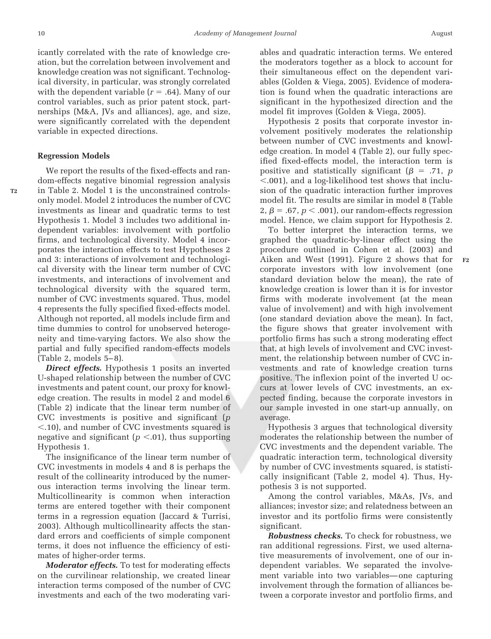icantly correlated with the rate of knowledge creation, but the correlation between involvement and knowledge creation was not significant. Technological diversity, in particular, was strongly correlated with the dependent variable  $(r = .64)$ . Many of our control variables, such as prior patent stock, partnerships (M&A, JVs and alliances), age, and size, were significantly correlated with the dependent variable in expected directions.

# **Regression Models**

We report the results of the fixed-effects and random-effects negative binomial regression analysis in Table 2. Model 1 is the unconstrained controlsonly model. Model 2 introduces the number of CVC investments as linear and quadratic terms to test Hypothesis 1. Model 3 includes two additional independent variables: involvement with portfolio firms, and technological diversity. Model 4 incorporates the interaction effects to test Hypotheses 2 and 3: interactions of involvement and technological diversity with the linear term number of CVC investments, and interactions of involvement and technological diversity with the squared term, number of CVC investments squared. Thus, model 4 represents the fully specified fixed-effects model. Although not reported, all models include firm and time dummies to control for unobserved heterogeneity and time-varying factors. We also show the partial and fully specified random-effects models (Table 2, models  $5-8$ ).

*Direct effects.* Hypothesis 1 posits an inverted U-shaped relationship between the number of CVC investments and patent count, our proxy for knowledge creation. The results in model 2 and model 6 (Table 2) indicate that the linear term number of CVC investments is positive and significant (*p* .10), and number of CVC investments squared is negative and significant  $(p < .01)$ , thus supporting Hypothesis 1.

The insignificance of the linear term number of CVC investments in models 4 and 8 is perhaps the result of the collinearity introduced by the numerous interaction terms involving the linear term. Multicollinearity is common when interaction terms are entered together with their component terms in a regression equation (Jaccard & Turrisi, 2003). Although multicollinearity affects the standard errors and coefficients of simple component terms, it does not influence the efficiency of estimates of higher-order terms.

*Moderator effects.* To test for moderating effects on the curvilinear relationship, we created linear interaction terms composed of the number of CVC investments and each of the two moderating variables and quadratic interaction terms. We entered the moderators together as a block to account for their simultaneous effect on the dependent variables (Golden & Viega, 2005). Evidence of moderation is found when the quadratic interactions are significant in the hypothesized direction and the model fit improves (Golden & Viega, 2005).

Hypothesis 2 posits that corporate investor involvement positively moderates the relationship between number of CVC investments and knowledge creation. In model 4 (Table 2), our fully specified fixed-effects model, the interaction term is positive and statistically significant ( $\beta$  = .71,  $p$ .001), and a log-likelihood test shows that inclusion of the quadratic interaction further improves model fit. The results are similar in model 8 (Table 2,  $\beta$  = .67,  $p <$  .001), our random-effects regression model. Hence, we claim support for Hypothesis 2.

To better interpret the interaction terms, we graphed the quadratic-by-linear effect using the procedure outlined in Cohen et al. (2003) and Aiken and West (1991). Figure 2 shows that for corporate investors with low involvement (one standard deviation below the mean), the rate of knowledge creation is lower than it is for investor firms with moderate involvement (at the mean value of involvement) and with high involvement (one standard deviation above the mean). In fact, the figure shows that greater involvement with portfolio firms has such a strong moderating effect that, at high levels of involvement and CVC investment, the relationship between number of CVC investments and rate of knowledge creation turns positive. The inflexion point of the inverted U occurs at lower levels of CVC investments, an expected finding, because the corporate investors in our sample invested in one start-up annually, on average.

Hypothesis 3 argues that technological diversity moderates the relationship between the number of CVC investments and the dependent variable. The quadratic interaction term, technological diversity by number of CVC investments squared, is statistically insignificant (Table 2, model 4). Thus, Hypothesis 3 is not supported.

Among the control variables, M&As, JVs, and alliances; investor size; and relatedness between an investor and its portfolio firms were consistently significant.

*Robustness checks.* To check for robustness, we ran additional regressions. First, we used alternative measurements of involvement, one of our independent variables. We separated the involvement variable into two variables— one capturing involvement through the formation of alliances between a corporate investor and portfolio firms, and

**F2**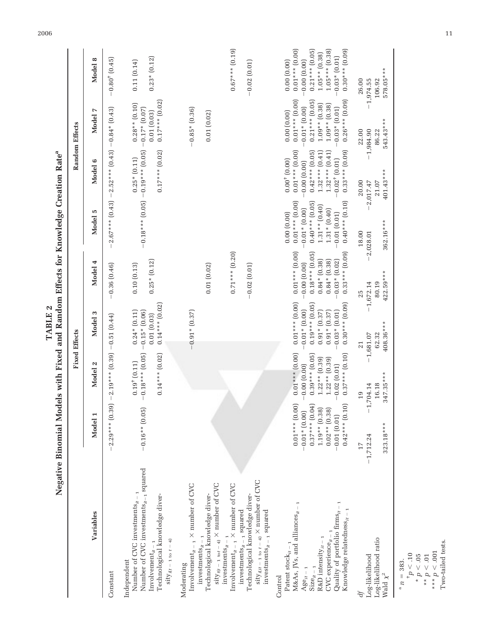| Variables                                                                                                                                                                                                                                                                                    |                                                                                                                                      |                                                                                                                                       |                                                                                                                                 |                                                                                                                             | Negative Binomial Models with Fixed and Random Effects for Knowledge Creation Rate <sup>a</sup>                                                 |                                                                                                                                                           |                                                                                                                                                   |                                                                                                                                                  |
|----------------------------------------------------------------------------------------------------------------------------------------------------------------------------------------------------------------------------------------------------------------------------------------------|--------------------------------------------------------------------------------------------------------------------------------------|---------------------------------------------------------------------------------------------------------------------------------------|---------------------------------------------------------------------------------------------------------------------------------|-----------------------------------------------------------------------------------------------------------------------------|-------------------------------------------------------------------------------------------------------------------------------------------------|-----------------------------------------------------------------------------------------------------------------------------------------------------------|---------------------------------------------------------------------------------------------------------------------------------------------------|--------------------------------------------------------------------------------------------------------------------------------------------------|
|                                                                                                                                                                                                                                                                                              |                                                                                                                                      | <b>Fixed Effects</b>                                                                                                                  |                                                                                                                                 |                                                                                                                             |                                                                                                                                                 |                                                                                                                                                           | <b>Random Effects</b>                                                                                                                             |                                                                                                                                                  |
|                                                                                                                                                                                                                                                                                              | Model 1                                                                                                                              | Model 2                                                                                                                               | S<br>Model:                                                                                                                     | Model 4                                                                                                                     | LO<br>Model                                                                                                                                     | Model 6                                                                                                                                                   | Model 7                                                                                                                                           | Model 8                                                                                                                                          |
| Constant                                                                                                                                                                                                                                                                                     |                                                                                                                                      | $-2.29***$ (0.39) $-2.19***$ (0.39) $-0.51$ (0.44)                                                                                    |                                                                                                                                 | $-0.36(0.46)$                                                                                                               |                                                                                                                                                 | $2.67***$ (0.43) $-2.52***$ (0.43) $-0.84*$ (0.43)                                                                                                        |                                                                                                                                                   | $-0.80^{\dagger}$ (0.45)                                                                                                                         |
| Number of CVC investments $_{it-1}$ squared<br>Number of CVC investments $_{it-1}$<br>Technological knowledge diver-<br>$\text{slty}_{i(t-1 \text{ to } t-4)}$<br>Involvement $_{it-1}$<br>Independent                                                                                       | $-0.16**$ (0.05)                                                                                                                     | $-0.18***$ (0.05)<br>$0.14***$ (0.02)<br>$0.19^{t}$ $(0.11)$                                                                          | $0.14***$ (0.02)<br>$0.24*(0.11)$<br>$-0.15*(0.06)$<br>0.01(0.03)                                                               | $0.25*(0.12)$<br>0.10(0.13)                                                                                                 | $-0.18***$ (0.05) $-0.19***$ (0.05)                                                                                                             | $0.17***$ (0.02)<br>$0.25*(0.11)$                                                                                                                         | $0.17***$ (0.02)<br>$0.28**$ $(0.10)$<br>$-0.17*(0.07)$<br>0.01(0.03)                                                                             | $0.23*(0.12)$<br>0.11(0.14)                                                                                                                      |
| Involvement <sub>it – 1</sub> $\times$ number of CVC<br>Moderating                                                                                                                                                                                                                           |                                                                                                                                      |                                                                                                                                       | $-0.91*(0.37)$                                                                                                                  |                                                                                                                             |                                                                                                                                                 |                                                                                                                                                           | $-0.85*(0.36)$                                                                                                                                    |                                                                                                                                                  |
| $\mathrm{sity}_{t(t-1\; \mathrm{tot}-4)}$ × number of CVC<br>investments<br>$\mu$ – $_1$ – $_2$ – $_3$ – $_4$ – $_5$ – $_6$ – $_7$ – $_7$ – $_8$ – $_7$ – $_8$ – $_7$ – $_8$ – $_7$ – $_8$ – $_9$ – $_9$ – $_9$ – $_9$ – $_9$ – $_9$ – $_9$ – $_9$ – $_9$ – $_9$ – $_9$ – $_9$ – $_9$ – $_9$ |                                                                                                                                      |                                                                                                                                       |                                                                                                                                 | 0.01(0.02)                                                                                                                  |                                                                                                                                                 |                                                                                                                                                           | 0.01(0.02)                                                                                                                                        |                                                                                                                                                  |
| Involvement <sub>it – 1</sub> $\times$ number of CVC<br>investments $_{it-1}$                                                                                                                                                                                                                |                                                                                                                                      |                                                                                                                                       |                                                                                                                                 | $0.71***$ $(0.20)$                                                                                                          |                                                                                                                                                 |                                                                                                                                                           |                                                                                                                                                   | $0.67***$ $(0.19)$                                                                                                                               |
| sity $_{i(it-1 \text{ to } t-4)}$ $\times$ number of CVC<br>Technological knowledge diver-<br>$\operatorname{investments}_{it-1}$ squared<br>$investments_{it-1}$ squared                                                                                                                    |                                                                                                                                      |                                                                                                                                       |                                                                                                                                 | $-0.02(0.01)$                                                                                                               |                                                                                                                                                 |                                                                                                                                                           |                                                                                                                                                   | $-0.02(0.01)$                                                                                                                                    |
| M&As, JVs, and alliances $_{it-1}$<br>Knowledge relatedness $_{it-1}$<br>Quality of portfolio firms $_{it}$<br>CVC experience $_{it-1}$<br>R&D intensity<br>$\hbar$ – $_1$<br>Patent stock $_{it-1}$<br>$Size_{it-1}$<br>$\mathrm{Age}_{it-1}$<br>Control                                    | $0.01***$ (0.00)<br>$0.42***$ $(0.10)$<br>$0.37***$ (0.04)<br>$-0.01*$ (0.00)<br>$1.19**$ (0.38)<br>$0.02**$ (0.38)<br>$-0.01(0.01)$ | $0.01***$ $(0.00)$<br>$0.37***$ (0.10)<br>$0.39***$ $(0.05)$<br>$1.22**$ $(0.39)$<br>$1.22**$ $(0.39)$<br>$-0.00(0.00)$<br>0.02(0.01) | $0.01***$ (0.00)<br>$0.30***$ (0.09)<br>$0.19***$ (0.05)<br>$-0.01*$ (0.00)<br>$0.91*(0.37)$<br>$0.91*(0.37)$<br>$-0.03*(0.01)$ | $0.01***$ (0.00)<br>$0.33***$ (0.09)<br>$0.18***$ $(0.05)$<br>$0.84*(0.38)$<br>$0.84*(0.38)$<br>$0.03*(0.02)$<br>0.00(0.00) | $0.40***$ (0.10)<br>$0.01***$ (0.00)<br>$0.40***$ (0.05)<br>$1.31**$ $(0.40)$<br>$0.01*$ (0.00)<br>$1.31*(0.40)$<br>$-0.01(0.01)$<br>0.00(0.00) | $0.33***$ (0.09)<br>$0.01***$ $(0.00)$<br>$0.42***$ (0.05)<br>$1.32***$ $(0.41)$<br>$1.32***$ (0.41)<br>$-0.02^+(0.01)$<br>$0.00^{+}(0.00)$<br>0.00(0.00) | $0.26***$ (0.09)<br>$0.01***$ $(0.00)$<br>$0.21***$ (0.05)<br>$1.09**$ (0.38)<br>$1.09**$ (0.38)<br>$-0.01*(0.00)$<br>$0.03*(0.01)$<br>0.00(0.00) | $0.01***$ (0.00)<br>$1.05***$ (0.38)<br>$0.30***$ $(0.09)$<br>$0.21***$ (0.05)<br>$1.05**$ $(0.38)$<br>$0.03*(0.01)$<br>0.00(0.00)<br>0.00(0.00) |
| $-1,712.24$<br>17<br>Log-likelihood ratio<br>Log-likelihood<br>Wald $\chi^2$<br>ď                                                                                                                                                                                                            | $323.18***$                                                                                                                          | $347.35***$<br>$-1,704.14$<br>16.18<br>19                                                                                             | $408.36***$<br>62.32<br>$-1,681.07$                                                                                             | $422.59***$<br>80.19<br>$-1,672.14$<br>25                                                                                   | $362.16***$<br>18.00<br>2,028.01                                                                                                                | $401.43***$<br>$21.07\,$<br>20.00<br>$-2,017.47$                                                                                                          | 543.43****<br>$-1,984.90$<br>22.00<br>86.22                                                                                                       | 578.05***<br>26.00<br>$-1,974.55$<br>106.92                                                                                                      |

 $\mathcal{L}$ k TABLE 2 **TABLE 2** ÷ j Ě

> $n^a$ *n* = 383.<br>
> <sup>*†</sup>p* < .10<br> *\* p* < .05<br> *\*\* p* < .01</sup>

 $k * p < .001$ 

Two-tailed tests.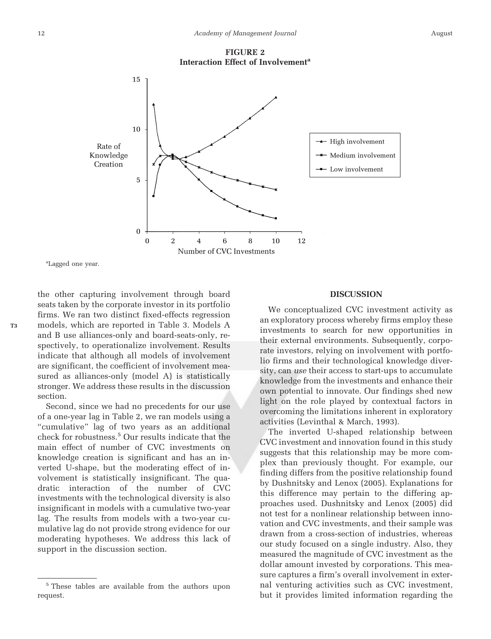**FIGURE 2 Interaction Effect of Involvement<sup>a</sup>**



a Lagged one year.

the other capturing involvement through board seats taken by the corporate investor in its portfolio firms. We ran two distinct fixed-effects regression models, which are reported in Table 3. Models A and B use alliances-only and board-seats-only, respectively, to operationalize involvement. Results indicate that although all models of involvement are significant, the coefficient of involvement measured as alliances-only (model A) is statistically stronger. We address these results in the discussion section.

Second, since we had no precedents for our use of a one-year lag in Table 2, we ran models using a "cumulative" lag of two years as an additional check for robustness.<sup>5</sup> Our results indicate that the main effect of number of CVC investments on knowledge creation is significant and has an inverted U-shape, but the moderating effect of involvement is statistically insignificant. The quadratic interaction of the number of CVC investments with the technological diversity is also insignificant in models with a cumulative two-year lag. The results from models with a two-year cumulative lag do not provide strong evidence for our moderating hypotheses. We address this lack of support in the discussion section.

#### **DISCUSSION**

We conceptualized CVC investment activity as an exploratory process whereby firms employ these investments to search for new opportunities in their external environments. Subsequently, corporate investors, relying on involvement with portfolio firms and their technological knowledge diversity, can *use* their access to start-ups to accumulate knowledge from the investments and enhance their own potential to innovate. Our findings shed new light on the role played by contextual factors in overcoming the limitations inherent in exploratory activities (Levinthal & March, 1993).

The inverted U-shaped relationship between CVC investment and innovation found in this study suggests that this relationship may be more complex than previously thought. For example, our finding differs from the positive relationship found by Dushnitsky and Lenox (2005). Explanations for this difference may pertain to the differing approaches used. Dushnitsky and Lenox (2005) did not test for a nonlinear relationship between innovation and CVC investments, and their sample was drawn from a cross-section of industries, whereas our study focused on a single industry. Also, they measured the magnitude of CVC investment as the dollar amount invested by corporations. This measure captures a firm's overall involvement in external venturing activities such as CVC investment, but it provides limited information regarding the

**T3**

<sup>5</sup> These tables are available from the authors upon request.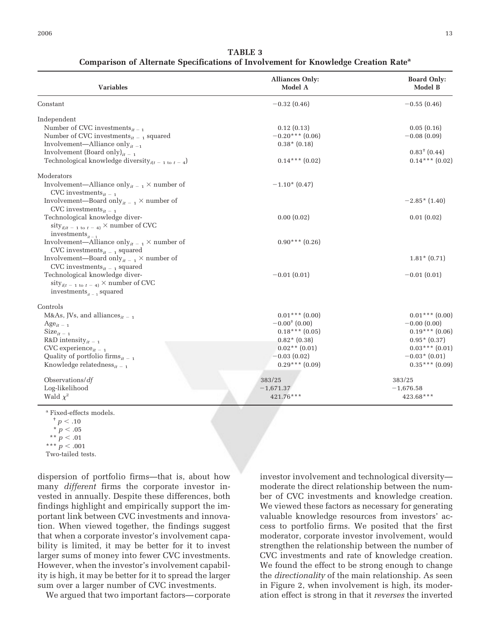**TABLE 3 Comparison of Alternate Specifications of Involvement for Knowledge Creation Rate<sup>a</sup>**

| <b>Variables</b>                                                                                    | <b>Alliances Only:</b><br>Model A | <b>Board Only:</b><br><b>Model B</b> |
|-----------------------------------------------------------------------------------------------------|-----------------------------------|--------------------------------------|
| Constant                                                                                            | $-0.32(0.46)$                     | $-0.55(0.46)$                        |
| Independent                                                                                         |                                   |                                      |
| Number of CVC investments <sub>it = 1</sub>                                                         | 0.12(0.13)                        | 0.05(0.16)                           |
| Number of CVC investments $_{it-1}$ squared                                                         | $-0.20***$ (0.06)                 | $-0.08(0.09)$                        |
| Involvement—Alliance only $_{it-1}$                                                                 | $0.38*(0.18)$                     |                                      |
| Involvement (Board only) <sub>it - 1</sub>                                                          |                                   | $0.83^+(0.44)$                       |
| Technological knowledge diversity <sub><math>i(t-1</math> to <math>t-4</math></sub> )               | $0.14***$ (0.02)                  | $0.14***$ (0.02)                     |
| Moderators                                                                                          |                                   |                                      |
| Involvement—Alliance only <sub>it - 1</sub> $\times$ number of<br>CVC investments <sub>it – 1</sub> | $-1.10*(0.47)$                    |                                      |
| Involvement—Board only <sub>it = 1</sub> $\times$ number of                                         |                                   | $-2.85*(1.40)$                       |
| CVC investments <sub>it – 1</sub>                                                                   |                                   |                                      |
| Technological knowledge diver-                                                                      | 0.00(0.02)                        | 0.01(0.02)                           |
| sity <sub>i(it</sub> – <sub>1 to t</sub> – <sub>4</sub> ) $\times$ number of CVC                    |                                   |                                      |
| investments <sub><math>i_{t-1}</math></sub>                                                         |                                   |                                      |
| Involvement—Alliance only <sub>it – 1</sub> $\times$ number of                                      | $0.90***$ (0.26)                  |                                      |
| CVC investments <sub>it - 1</sub> squared                                                           |                                   |                                      |
| Involvement—Board only <sub>it = 1</sub> $\times$ number of                                         |                                   | $1.81*$ (0.71)                       |
| CVC investments <sub>it = 1</sub> squared                                                           |                                   |                                      |
| Technological knowledge diver-                                                                      | $-0.01(0.01)$                     | $-0.01(0.01)$                        |
| sity <sub>i(t - 1 to t - 4)</sub> $\times$ number of CVC                                            |                                   |                                      |
| investments <sub><math>i_{t-1}</math></sub> squared                                                 |                                   |                                      |
| Controls                                                                                            |                                   |                                      |
| M&As, JVs, and alliances <sub>it - 1</sub>                                                          | $0.01***$ (0.00)                  | $0.01***$ (0.00)                     |
| $\text{Age}_{it-1}$                                                                                 | $-0.00^{\dagger}$ (0.00)          | $-0.00(0.00)$                        |
| $Size_{it-1}$                                                                                       | $0.18***$ (0.05)                  | $0.19***$ (0.06)                     |
| R&D intensity $_{it-1}$                                                                             | $0.82*(0.38)$                     | $0.95*(0.37)$                        |
| CVC experience $_{it-1}$                                                                            | $0.02**$ (0.01)                   | $0.03***$ (0.01)                     |
| Quality of portfolio firms <sub>it - 1</sub>                                                        | $-0.03(0.02)$<br>$0.29***$ (0.09) | $-0.03*(0.01)$<br>$0.35***$ (0.09)   |
| Knowledge relatedness <sub>it = 1</sub>                                                             |                                   |                                      |
| Observations/ $df$                                                                                  | 383/25                            | 383/25                               |
| Log-likelihood                                                                                      | $-1,671.37$                       | $-1,676.58$                          |
| Wald $\chi^2$                                                                                       | $421.76***$                       | 423.68***                            |
|                                                                                                     |                                   |                                      |

<sup>a</sup> Fixed-effects models.  $p < .10$  $\frac{1}{2}$  *p* < .05  $^{\star\,\star}$   $p$   $<$   $.01$  $*** p < .001$ Two-tailed tests.

dispersion of portfolio firms—that is, about how many *different* firms the corporate investor invested in annually. Despite these differences, both findings highlight and empirically support the important link between CVC investments and innovation. When viewed together, the findings suggest that when a corporate investor's involvement capability is limited, it may be better for it to invest larger sums of money into fewer CVC investments. However, when the investor's involvement capability is high, it may be better for it to spread the larger sum over a larger number of CVC investments.

We argued that two important factors— corporate

investor involvement and technological diversity moderate the direct relationship between the number of CVC investments and knowledge creation. We viewed these factors as necessary for generating valuable knowledge resources from investors' access to portfolio firms. We posited that the first moderator, corporate investor involvement, would strengthen the relationship between the number of CVC investments and rate of knowledge creation. We found the effect to be strong enough to change the *directionality* of the main relationship. As seen in Figure 2, when involvement is high, its moderation effect is strong in that it *reverses* the inverted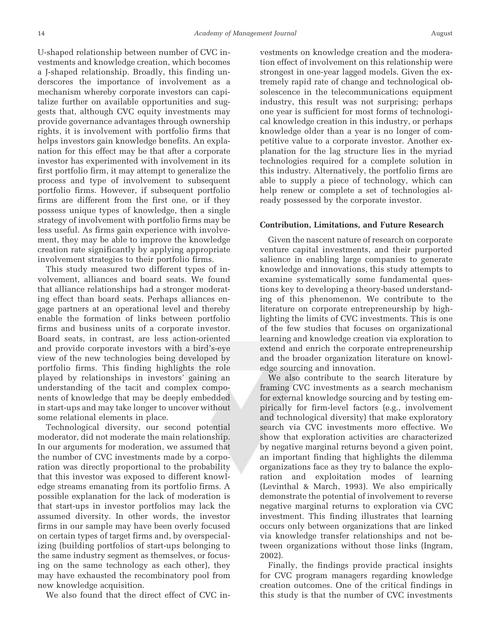U-shaped relationship between number of CVC investments and knowledge creation, which becomes a J-shaped relationship. Broadly, this finding underscores the importance of involvement as a mechanism whereby corporate investors can capitalize further on available opportunities and suggests that, although CVC equity investments may provide governance advantages through ownership rights, it is involvement with portfolio firms that helps investors gain knowledge benefits. An explanation for this effect may be that after a corporate investor has experimented with involvement in its first portfolio firm, it may attempt to generalize the process and type of involvement to subsequent portfolio firms. However, if subsequent portfolio firms are different from the first one, or if they possess unique types of knowledge, then a single strategy of involvement with portfolio firms may be less useful. As firms gain experience with involvement, they may be able to improve the knowledge creation rate significantly by applying appropriate involvement strategies to their portfolio firms.

This study measured two different types of involvement, alliances and board seats. We found that alliance relationships had a stronger moderating effect than board seats. Perhaps alliances engage partners at an operational level and thereby enable the formation of links between portfolio firms and business units of a corporate investor. Board seats, in contrast, are less action-oriented and provide corporate investors with a bird's-eye view of the new technologies being developed by portfolio firms. This finding highlights the role played by relationships in investors' gaining an understanding of the tacit and complex components of knowledge that may be deeply embedded in start-ups and may take longer to uncover without some relational elements in place.

Technological diversity, our second potential moderator, did not moderate the main relationship. In our arguments for moderation, we assumed that the number of CVC investments made by a corporation was directly proportional to the probability that this investor was exposed to different knowledge streams emanating from its portfolio firms. A possible explanation for the lack of moderation is that start-ups in investor portfolios may lack the assumed diversity. In other words, the investor firms in our sample may have been overly focused on certain types of target firms and, by overspecializing (building portfolios of start-ups belonging to the same industry segment as themselves, or focusing on the same technology as each other), they may have exhausted the recombinatory pool from new knowledge acquisition.

We also found that the direct effect of CVC in-

vestments on knowledge creation and the moderation effect of involvement on this relationship were strongest in one-year lagged models. Given the extremely rapid rate of change and technological obsolescence in the telecommunications equipment industry, this result was not surprising; perhaps one year is sufficient for most forms of technological knowledge creation in this industry, or perhaps knowledge older than a year is no longer of competitive value to a corporate investor. Another explanation for the lag structure lies in the myriad technologies required for a complete solution in this industry. Alternatively, the portfolio firms are able to supply a piece of technology, which can help renew or complete a set of technologies already possessed by the corporate investor.

#### **Contribution, Limitations, and Future Research**

Given the nascent nature of research on corporate venture capital investments, and their purported salience in enabling large companies to generate knowledge and innovations, this study attempts to examine systematically some fundamental questions key to developing a theory-based understanding of this phenomenon. We contribute to the literature on corporate entrepreneurship by highlighting the limits of CVC investments. This is one of the few studies that focuses on organizational learning and knowledge creation via exploration to extend and enrich the corporate entrepreneurship and the broader organization literature on knowledge sourcing and innovation.

We also contribute to the search literature by framing CVC investments as a search mechanism for external knowledge sourcing and by testing empirically for firm-level factors (e.g., involvement and technological diversity) that make exploratory search via CVC investments more effective. We show that exploration activities are characterized by negative marginal returns beyond a given point, an important finding that highlights the dilemma organizations face as they try to balance the exploration and exploitation modes of learning (Levinthal & March, 1993). We also empirically demonstrate the potential of involvement to reverse negative marginal returns to exploration via CVC investment. This finding illustrates that learning occurs only between organizations that are linked via knowledge transfer relationships and not between organizations without those links (Ingram, 2002).

Finally, the findings provide practical insights for CVC program managers regarding knowledge creation outcomes. One of the critical findings in this study is that the number of CVC investments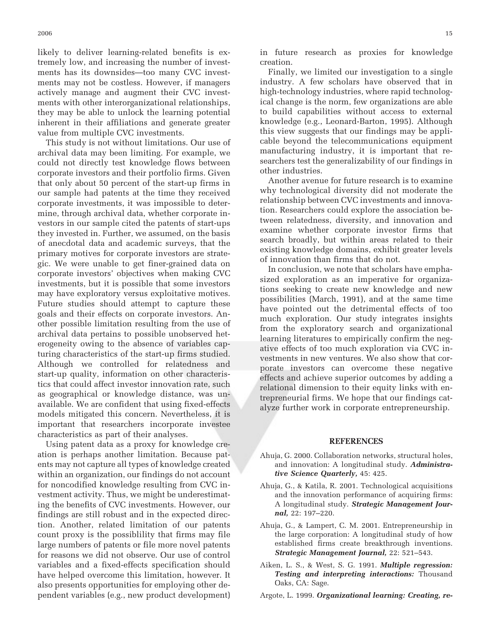likely to deliver learning-related benefits is extremely low, and increasing the number of investments has its downsides—too many CVC investments may not be costless. However, if managers actively manage and augment their CVC investments with other interorganizational relationships, they may be able to unlock the learning potential inherent in their affiliations and generate greater value from multiple CVC investments.

This study is not without limitations. Our use of archival data may been limiting. For example, we could not directly test knowledge flows between corporate investors and their portfolio firms. Given that only about 50 percent of the start-up firms in our sample had patents at the time they received corporate investments, it was impossible to determine, through archival data, whether corporate investors in our sample cited the patents of start-ups they invested in. Further, we assumed, on the basis of anecdotal data and academic surveys, that the primary motives for corporate investors are strategic. We were unable to get finer-grained data on corporate investors' objectives when making CVC investments, but it is possible that some investors may have exploratory versus exploitative motives. Future studies should attempt to capture these goals and their effects on corporate investors. Another possible limitation resulting from the use of archival data pertains to possible unobserved heterogeneity owing to the absence of variables capturing characteristics of the start-up firms studied. Although we controlled for relatedness and start-up quality, information on other characteristics that could affect investor innovation rate, such as geographical or knowledge distance, was unavailable. We are confident that using fixed-effects models mitigated this concern. Nevertheless, it is important that researchers incorporate investee characteristics as part of their analyses.

Using patent data as a proxy for knowledge creation is perhaps another limitation. Because patents may not capture all types of knowledge created within an organization, our findings do not account for noncodified knowledge resulting from CVC investment activity. Thus, we might be underestimating the benefits of CVC investments. However, our findings are still robust and in the expected direction. Another, related limitation of our patents count proxy is the possiblility that firms may file large numbers of patents or file more novel patents for reasons we did not observe. Our use of control variables and a fixed-effects specification should have helped overcome this limitation, however. It also presents opportunities for employing other dependent variables (e.g., new product development)

in future research as proxies for knowledge creation.

Finally, we limited our investigation to a single industry. A few scholars have observed that in high-technology industries, where rapid technological change is the norm, few organizations are able to build capabilities without access to external knowledge (e.g., Leonard-Barton, 1995). Although this view suggests that our findings may be applicable beyond the telecommunications equipment manufacturing industry, it is important that researchers test the generalizability of our findings in other industries.

Another avenue for future research is to examine why technological diversity did not moderate the relationship between CVC investments and innovation. Researchers could explore the association between relatedness, diversity, and innovation and examine whether corporate investor firms that search broadly, but within areas related to their existing knowledge domains, exhibit greater levels of innovation than firms that do not.

In conclusion, we note that scholars have emphasized exploration as an imperative for organizations seeking to create new knowledge and new possibilities (March, 1991), and at the same time have pointed out the detrimental effects of too much exploration. Our study integrates insights from the exploratory search and organizational learning literatures to empirically confirm the negative effects of too much exploration via CVC investments in new ventures. We also show that corporate investors can overcome these negative effects and achieve superior outcomes by adding a relational dimension to their equity links with entrepreneurial firms. We hope that our findings catalyze further work in corporate entrepreneurship.

#### **REFERENCES**

- Ahuja, G. 2000. Collaboration networks, structural holes, and innovation: A longitudinal study. *Administrative Science Quarterly,* 45: 425.
- Ahuja, G., & Katila, R. 2001. Technological acquisitions and the innovation performance of acquiring firms: A longitudinal study. *Strategic Management Journal,* 22: 197–220.
- Ahuja, G., & Lampert, C. M. 2001. Entrepreneurship in the large corporation: A longitudinal study of how established firms create breakthrough inventions. *Strategic Management Journal,* 22: 521–543.
- Aiken, L. S., & West, S. G. 1991. *Multiple regression: Testing and interpreting interactions:* Thousand Oaks, CA: Sage.

Argote, L. 1999. *Organizational learning: Creating, re-*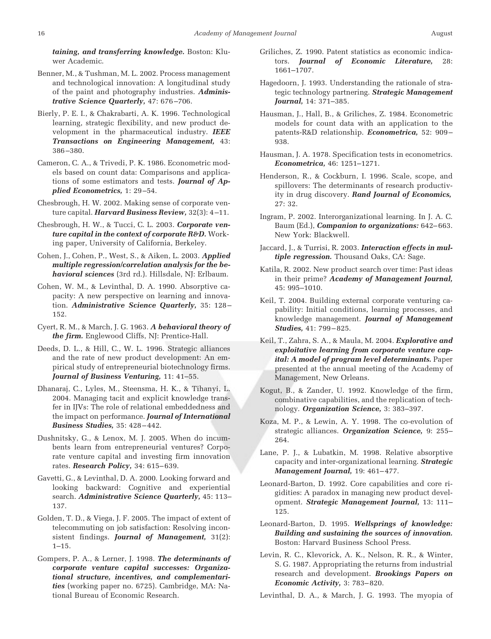*taining, and transferring knowledge.* Boston: Kluwer Academic.

- Benner, M., & Tushman, M. L. 2002. Process management and technological innovation: A longitudinal study of the paint and photography industries. *Administrative Science Quarterly,* 47: 676 –706.
- Bierly, P. E. I., & Chakrabarti, A. K. 1996. Technological learning, strategic flexibility, and new product development in the pharmaceutical industry. *IEEE Transactions on Engineering Management,* 43: 386 –380.
- Cameron, C. A., & Trivedi, P. K. 1986. Econometric models based on count data: Comparisons and applications of some estimators and tests. *Journal of Applied Econometrics,* 1: 29 –54.
- Chesbrough, H. W. 2002. Making sense of corporate venture capital. *Harvard Business Review,* 32(3): 4 –11.
- Chesbrough, H. W., & Tucci, C. L. 2003. *Corporate venture capital in the context of corporate R&D.* Working paper, University of California, Berkeley.
- Cohen, J., Cohen, P., West, S., & Aiken, L. 2003. *Applied multiple regression/correlation analysis for the behavioral sciences* (3rd rd.). Hillsdale, NJ: Erlbaum.
- Cohen, W. M., & Levinthal, D. A. 1990. Absorptive capacity: A new perspective on learning and innovation. *Administrative Science Quarterly,* 35: 128 – 152.
- Cyert, R. M., & March, J. G. 1963. *A behavioral theory of the firm.* Englewood Cliffs, NJ: Prentice-Hall.
- Deeds, D. L., & Hill, C., W. L. 1996. Strategic alliances and the rate of new product development: An empirical study of entrepreneurial biotechnology firms. *Journal of Business Venturing,* 11: 41–55.
- Dhanaraj, C., Lyles, M., Steensma, H. K., & Tihanyi, L. 2004. Managing tacit and explicit knowledge transfer in IJVs: The role of relational embeddedness and the impact on performance. *Journal of International Business Studies,* 35: 428 – 442.
- Dushnitsky, G., & Lenox, M. J. 2005. When do incumbents learn from entrepreneurial ventures? Corporate venture capital and investing firm innovation rates. *Research Policy,* 34: 615– 639.
- Gavetti, G., & Levinthal, D. A. 2000. Looking forward and looking backward: Cognitive and experiential search. *Administrative Science Quarterly,* 45: 113– 137.
- Golden, T. D., & Viega, J. F. 2005. The impact of extent of telecommuting on job satisfaction: Resolving inconsistent findings. *Journal of Management,* 31(2): 1–15.
- Gompers, P. A., & Lerner, J. 1998. *The determinants of corporate venture capital successes: Organizational structure, incentives, and complementarities* (working paper no. 6725). Cambridge, MA: National Bureau of Economic Research.
- Griliches, Z. 1990. Patent statistics as economic indicators. *Journal of Economic Literature,* 28: 1661–1707.
- Hagedoorn, J. 1993. Understanding the rationale of strategic technology partnering. *Strategic Management Journal,* 14: 371–385.
- Hausman, J., Hall, B., & Griliches, Z. 1984. Econometric models for count data with an application to the patents-R&D relationship. *Econometrica,* 52: 909 – 938.
- Hausman, J. A. 1978. Specification tests in econometrics. *Econometrica,* 46: 1251–1271.
- Henderson, R., & Cockburn, I. 1996. Scale, scope, and spillovers: The determinants of research productivity in drug discovery. *Rand Journal of Economics,* 27: 32.
- Ingram, P. 2002. Interorganizational learning. In J. A. C. Baum (Ed.), *Companion to organizations:* 642– 663. New York: Blackwell.
- Jaccard, J., & Turrisi, R. 2003. *Interaction effects in multiple regression.* Thousand Oaks, CA: Sage.
- Katila, R. 2002. New product search over time: Past ideas in their prime? *Academy of Management Journal,* 45: 995–1010.
- Keil, T. 2004. Building external corporate venturing capability: Initial conditions, learning processes, and knowledge management. *Journal of Management Studies,* 41: 799 – 825.
- Keil, T., Zahra, S. A., & Maula, M. 2004. *Explorative and exploitative learning from corporate venture capital: A model of program level determinants.* Paper presented at the annual meeting of the Academy of Management, New Orleans.
- Kogut, B., & Zander, U. 1992. Knowledge of the firm, combinative capabilities, and the replication of technology. *Organization Science,* 3: 383–397.
- Koza, M. P., & Lewin, A. Y. 1998. The co-evolution of strategic alliances. *Organization Science,* 9: 255– 264.
- Lane, P. J., & Lubatkin, M. 1998. Relative absorptive capacity and inter-organizational learning. *Strategic Management Journal, 19: 461-477.*
- Leonard-Barton, D. 1992. Core capabilities and core rigidities: A paradox in managing new product development. *Strategic Management Journal,* 13: 111– 125.
- Leonard-Barton, D. 1995. *Wellsprings of knowledge: Building and sustaining the sources of innovation.* Boston: Harvard Business School Press.
- Levin, R. C., Klevorick, A. K., Nelson, R. R., & Winter, S. G. 1987. Appropriating the returns from industrial research and development. *Brookings Papers on Economic Activity,* 3: 783– 820.

Levinthal, D. A., & March, J. G. 1993. The myopia of